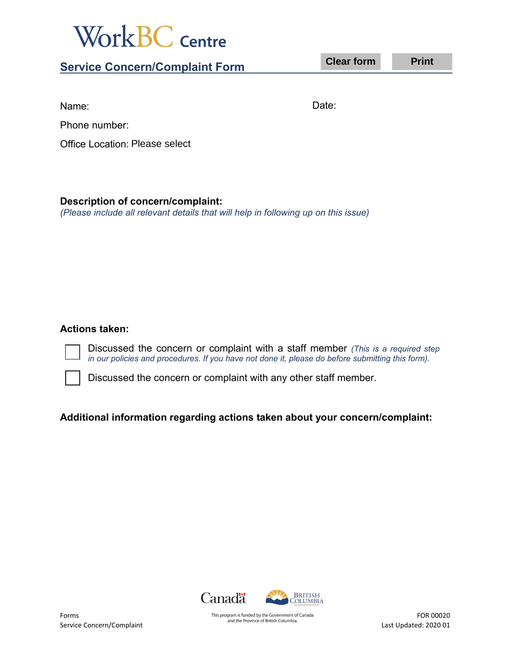

**Service Concern/Complaint Form** 

**Clear form Print** 

Name:

Date:

Phone number:

Office Location: Please select

## **Description of concern/complaint:**

*(Please include all relevant details that will help in following up on this issue)*

## **Actions taken:**

Discussed the concern or complaint with a staff member *(This is a required step in our policies and procedures. If you have not done it, please do before submitting this form).*

Discussed the concern or complaint with any other staff member.

## **Additional information regarding actions taken about your concern/complaint:**



This program is funded by the Government of Canada and the Province of British Columbia.